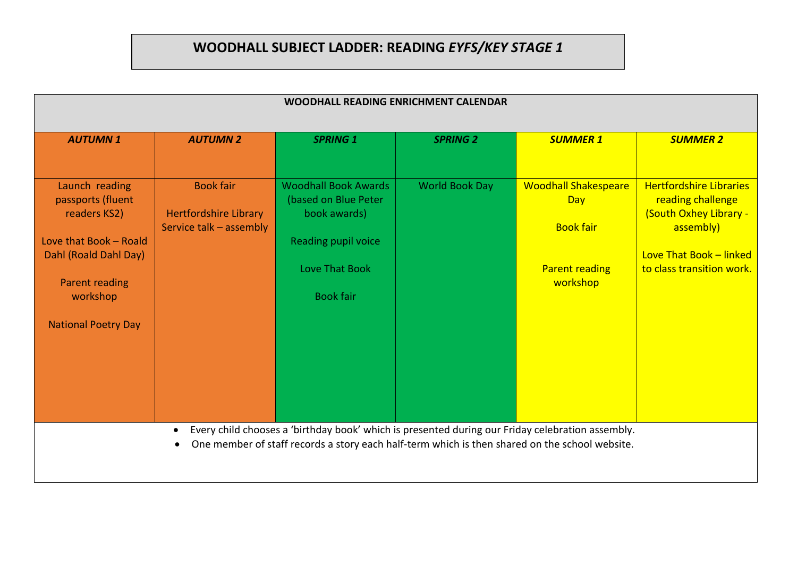## **WOODHALL SUBJECT LADDER: READING** *EYFS/KEY STAGE 1*

| WOODHALL READING ENRICHMENT CALENDAR                                                                                                                                      |                                                                             |                                                                                                                                                                                                    |                       |                                                                                             |                                                                                                                                                    |  |
|---------------------------------------------------------------------------------------------------------------------------------------------------------------------------|-----------------------------------------------------------------------------|----------------------------------------------------------------------------------------------------------------------------------------------------------------------------------------------------|-----------------------|---------------------------------------------------------------------------------------------|----------------------------------------------------------------------------------------------------------------------------------------------------|--|
| <b>AUTUMN1</b>                                                                                                                                                            | <b>AUTUMN 2</b>                                                             | <b>SPRING 1</b>                                                                                                                                                                                    | <b>SPRING 2</b>       | <b>SUMMER 1</b>                                                                             | <b>SUMMER 2</b>                                                                                                                                    |  |
| Launch reading<br>passports (fluent<br>readers KS2)<br>Love that Book - Roald<br>Dahl (Roald Dahl Day)<br><b>Parent reading</b><br>workshop<br><b>National Poetry Day</b> | <b>Book fair</b><br><b>Hertfordshire Library</b><br>Service talk - assembly | <b>Woodhall Book Awards</b><br>(based on Blue Peter<br>book awards)<br>Reading pupil voice<br>Love That Book<br><b>Book fair</b>                                                                   | <b>World Book Day</b> | <b>Woodhall Shakespeare</b><br>Day<br><b>Book fair</b><br><b>Parent reading</b><br>workshop | <b>Hertfordshire Libraries</b><br>reading challenge<br>(South Oxhey Library -<br>assembly)<br>Love That Book - linked<br>to class transition work. |  |
|                                                                                                                                                                           | $\bullet$                                                                   | Every child chooses a 'birthday book' which is presented during our Friday celebration assembly.<br>One member of staff records a story each half-term which is then shared on the school website. |                       |                                                                                             |                                                                                                                                                    |  |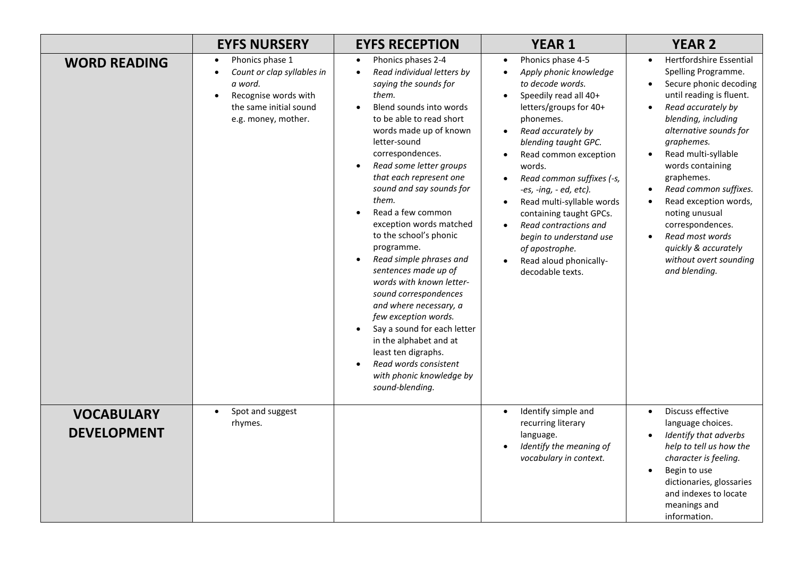|                                         | <b>EYFS NURSERY</b>                                                                                                                                                      | <b>EYFS RECEPTION</b>                                                                                                                                                                                                                                                                                                                                                                                                                                                                                                                                                                                                                                                                                                                                                         | <b>YEAR 1</b>                                                                                                                                                                                                                                                                                                                                                                                                                                                                                | <b>YEAR 2</b>                                                                                                                                                                                                                                                                                                                                                                                                                                                     |
|-----------------------------------------|--------------------------------------------------------------------------------------------------------------------------------------------------------------------------|-------------------------------------------------------------------------------------------------------------------------------------------------------------------------------------------------------------------------------------------------------------------------------------------------------------------------------------------------------------------------------------------------------------------------------------------------------------------------------------------------------------------------------------------------------------------------------------------------------------------------------------------------------------------------------------------------------------------------------------------------------------------------------|----------------------------------------------------------------------------------------------------------------------------------------------------------------------------------------------------------------------------------------------------------------------------------------------------------------------------------------------------------------------------------------------------------------------------------------------------------------------------------------------|-------------------------------------------------------------------------------------------------------------------------------------------------------------------------------------------------------------------------------------------------------------------------------------------------------------------------------------------------------------------------------------------------------------------------------------------------------------------|
| <b>WORD READING</b>                     | Phonics phase 1<br>$\bullet$<br>Count or clap syllables in<br>$\bullet$<br>a word.<br>Recognise words with<br>$\bullet$<br>the same initial sound<br>e.g. money, mother. | Phonics phases 2-4<br>$\bullet$<br>Read individual letters by<br>$\bullet$<br>saying the sounds for<br>them.<br>Blend sounds into words<br>to be able to read short<br>words made up of known<br>letter-sound<br>correspondences.<br>Read some letter groups<br>$\bullet$<br>that each represent one<br>sound and say sounds for<br>them.<br>Read a few common<br>exception words matched<br>to the school's phonic<br>programme.<br>Read simple phrases and<br>$\bullet$<br>sentences made up of<br>words with known letter-<br>sound correspondences<br>and where necessary, a<br>few exception words.<br>Say a sound for each letter<br>$\bullet$<br>in the alphabet and at<br>least ten digraphs.<br>Read words consistent<br>with phonic knowledge by<br>sound-blending. | Phonics phase 4-5<br>$\bullet$<br>Apply phonic knowledge<br>to decode words.<br>Speedily read all 40+<br>letters/groups for 40+<br>phonemes.<br>Read accurately by<br>blending taught GPC.<br>Read common exception<br>words.<br>Read common suffixes (-s,<br>-es, -ing, $-e$ d, etc).<br>Read multi-syllable words<br>$\bullet$<br>containing taught GPCs.<br>Read contractions and<br>$\bullet$<br>begin to understand use<br>of apostrophe.<br>Read aloud phonically-<br>decodable texts. | <b>Hertfordshire Essential</b><br>$\bullet$<br>Spelling Programme.<br>Secure phonic decoding<br>until reading is fluent.<br>Read accurately by<br>$\bullet$<br>blending, including<br>alternative sounds for<br>graphemes.<br>Read multi-syllable<br>words containing<br>graphemes.<br>Read common suffixes.<br>Read exception words,<br>noting unusual<br>correspondences.<br>Read most words<br>quickly & accurately<br>without overt sounding<br>and blending. |
| <b>VOCABULARY</b><br><b>DEVELOPMENT</b> | Spot and suggest<br>$\bullet$<br>rhymes.                                                                                                                                 |                                                                                                                                                                                                                                                                                                                                                                                                                                                                                                                                                                                                                                                                                                                                                                               | Identify simple and<br>$\bullet$<br>recurring literary<br>language.<br>Identify the meaning of<br>vocabulary in context.                                                                                                                                                                                                                                                                                                                                                                     | Discuss effective<br>$\bullet$<br>language choices.<br>Identify that adverbs<br>help to tell us how the<br>character is feeling.<br>Begin to use<br>dictionaries, glossaries<br>and indexes to locate<br>meanings and<br>information.                                                                                                                                                                                                                             |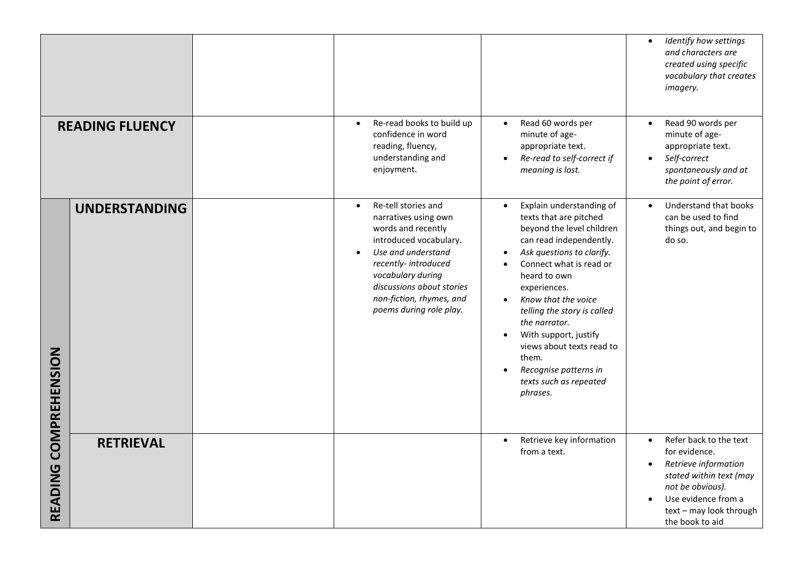|                        |                      |                                                                                                                                                                                                                                                                |                                                                                                                                                                                                                                                                                                                                                                                                                                                | Identify how settings<br>$\bullet$<br>and characters are<br>created using specific<br>vocabulary that creates<br>imagery.                                                                                     |
|------------------------|----------------------|----------------------------------------------------------------------------------------------------------------------------------------------------------------------------------------------------------------------------------------------------------------|------------------------------------------------------------------------------------------------------------------------------------------------------------------------------------------------------------------------------------------------------------------------------------------------------------------------------------------------------------------------------------------------------------------------------------------------|---------------------------------------------------------------------------------------------------------------------------------------------------------------------------------------------------------------|
| <b>READING FLUENCY</b> |                      | Re-read books to build up<br>$\bullet$<br>confidence in word<br>reading, fluency,<br>understanding and<br>enjoyment.                                                                                                                                           | Read 60 words per<br>$\bullet$<br>minute of age-<br>appropriate text.<br>Re-read to self-correct if<br>meaning is lost.                                                                                                                                                                                                                                                                                                                        | Read 90 words per<br>$\bullet$<br>minute of age-<br>appropriate text.<br>Self-correct<br>spontaneously and at<br>the point of error.                                                                          |
| <b>COMPREHENSION</b>   | <b>UNDERSTANDING</b> | Re-tell stories and<br>narratives using own<br>words and recently<br>introduced vocabulary.<br>Use and understand<br>$\bullet$<br>recently-introduced<br>vocabulary during<br>discussions about stories<br>non-fiction, rhymes, and<br>poems during role play. | Explain understanding of<br>$\bullet$<br>texts that are pitched<br>beyond the level children<br>can read independently.<br>Ask questions to clarify.<br>Connect what is read or<br>heard to own<br>experiences.<br>Know that the voice<br>$\bullet$<br>telling the story is called<br>the narrator.<br>With support, justify<br>$\bullet$<br>views about texts read to<br>them.<br>Recognise patterns in<br>texts such as repeated<br>phrases. | Understand that books<br>can be used to find<br>things out, and begin to<br>do so.                                                                                                                            |
| READING                | <b>RETRIEVAL</b>     |                                                                                                                                                                                                                                                                | Retrieve key information<br>$\bullet$<br>from a text.                                                                                                                                                                                                                                                                                                                                                                                          | Refer back to the text<br>$\bullet$<br>for evidence.<br>Retrieve information<br>$\bullet$<br>stated within text (may<br>not be obvious).<br>Use evidence from a<br>text - may look through<br>the book to aid |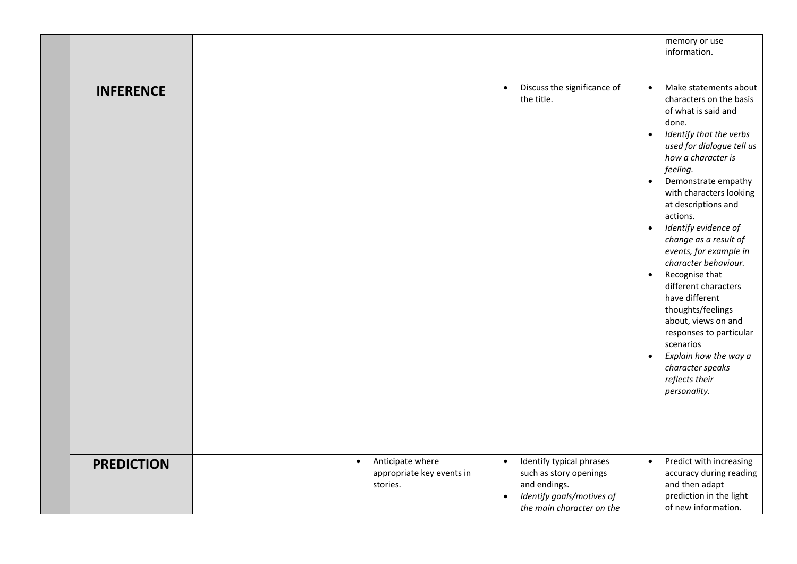|                   |                                                                        |                                                                                                                                                        | memory or use<br>information.                                                                                                                                                                                                                                                                                                                                                                                                                                                                                                                                                                                                                                                   |
|-------------------|------------------------------------------------------------------------|--------------------------------------------------------------------------------------------------------------------------------------------------------|---------------------------------------------------------------------------------------------------------------------------------------------------------------------------------------------------------------------------------------------------------------------------------------------------------------------------------------------------------------------------------------------------------------------------------------------------------------------------------------------------------------------------------------------------------------------------------------------------------------------------------------------------------------------------------|
| <b>INFERENCE</b>  |                                                                        | Discuss the significance of<br>$\bullet$<br>the title.                                                                                                 | Make statements about<br>$\bullet$<br>characters on the basis<br>of what is said and<br>done.<br>Identify that the verbs<br>$\bullet$<br>used for dialogue tell us<br>how a character is<br>feeling.<br>Demonstrate empathy<br>$\bullet$<br>with characters looking<br>at descriptions and<br>actions.<br>Identify evidence of<br>$\bullet$<br>change as a result of<br>events, for example in<br>character behaviour.<br>Recognise that<br>$\bullet$<br>different characters<br>have different<br>thoughts/feelings<br>about, views on and<br>responses to particular<br>scenarios<br>Explain how the way a<br>$\bullet$<br>character speaks<br>reflects their<br>personality. |
| <b>PREDICTION</b> | Anticipate where<br>$\bullet$<br>appropriate key events in<br>stories. | Identify typical phrases<br>$\bullet$<br>such as story openings<br>and endings.<br>Identify goals/motives of<br>$\bullet$<br>the main character on the | Predict with increasing<br>$\bullet$<br>accuracy during reading<br>and then adapt<br>prediction in the light<br>of new information.                                                                                                                                                                                                                                                                                                                                                                                                                                                                                                                                             |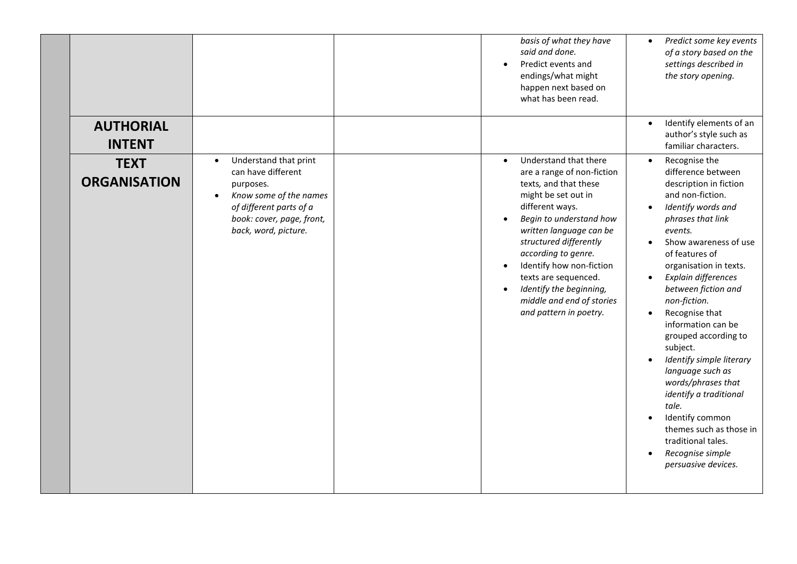|                                    |                                                                                                                                                                                              | basis of what they have<br>said and done.<br>Predict events and<br>endings/what might<br>happen next based on<br>what has been read.                                                                                                                                                                                                                                                          | Predict some key events<br>$\bullet$<br>of a story based on the<br>settings described in<br>the story opening.                                                                                                                                                                                                                                                                                                                                                                                                                                                                                                                     |
|------------------------------------|----------------------------------------------------------------------------------------------------------------------------------------------------------------------------------------------|-----------------------------------------------------------------------------------------------------------------------------------------------------------------------------------------------------------------------------------------------------------------------------------------------------------------------------------------------------------------------------------------------|------------------------------------------------------------------------------------------------------------------------------------------------------------------------------------------------------------------------------------------------------------------------------------------------------------------------------------------------------------------------------------------------------------------------------------------------------------------------------------------------------------------------------------------------------------------------------------------------------------------------------------|
| <b>AUTHORIAL</b><br><b>INTENT</b>  |                                                                                                                                                                                              |                                                                                                                                                                                                                                                                                                                                                                                               | Identify elements of an<br>author's style such as<br>familiar characters.                                                                                                                                                                                                                                                                                                                                                                                                                                                                                                                                                          |
| <b>TEXT</b><br><b>ORGANISATION</b> | Understand that print<br>$\bullet$<br>can have different<br>purposes.<br>Know some of the names<br>$\bullet$<br>of different parts of a<br>book: cover, page, front,<br>back, word, picture. | Understand that there<br>$\bullet$<br>are a range of non-fiction<br>texts, and that these<br>might be set out in<br>different ways.<br>Begin to understand how<br>written language can be<br>structured differently<br>according to genre.<br>Identify how non-fiction<br>$\bullet$<br>texts are sequenced.<br>Identify the beginning,<br>middle and end of stories<br>and pattern in poetry. | Recognise the<br>$\bullet$<br>difference between<br>description in fiction<br>and non-fiction.<br>Identify words and<br>$\bullet$<br>phrases that link<br>events.<br>Show awareness of use<br>of features of<br>organisation in texts.<br>Explain differences<br>$\bullet$<br>between fiction and<br>non-fiction.<br>Recognise that<br>information can be<br>grouped according to<br>subject.<br>Identify simple literary<br>language such as<br>words/phrases that<br>identify a traditional<br>tale.<br>Identify common<br>themes such as those in<br>traditional tales.<br>Recognise simple<br>$\bullet$<br>persuasive devices. |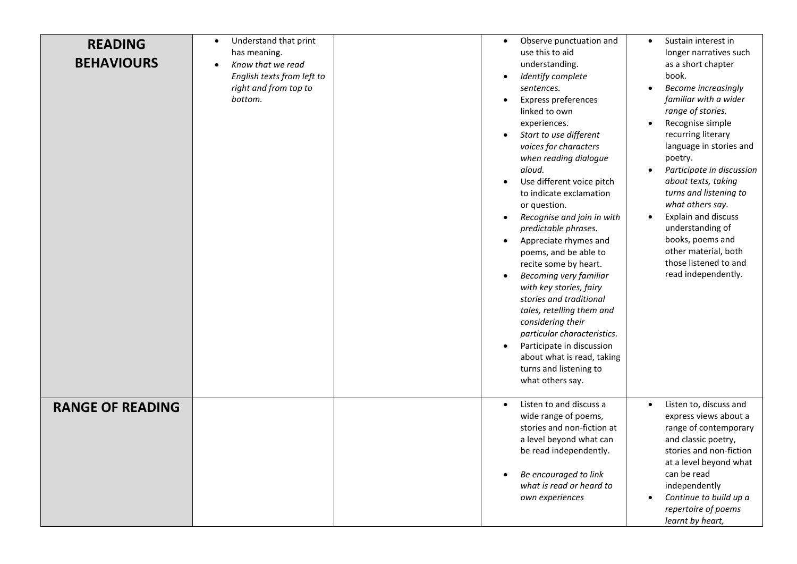| <b>READING</b><br><b>BEHAVIOURS</b> | Understand that print<br>$\bullet$<br>has meaning.<br>Know that we read<br>English texts from left to<br>right and from top to<br>bottom. | Observe punctuation and<br>$\bullet$<br>use this to aid<br>understanding.<br>Identify complete<br>sentences.<br>Express preferences<br>linked to own<br>experiences.<br>Start to use different<br>voices for characters<br>when reading dialogue<br>aloud.<br>Use different voice pitch<br>to indicate exclamation<br>or question.<br>Recognise and join in with<br>predictable phrases.<br>Appreciate rhymes and<br>$\bullet$<br>poems, and be able to<br>recite some by heart.<br><b>Becoming very familiar</b><br>$\bullet$<br>with key stories, fairy<br>stories and traditional<br>tales, retelling them and<br>considering their<br>particular characteristics.<br>Participate in discussion<br>about what is read, taking<br>turns and listening to<br>what others say. | Sustain interest in<br>$\bullet$<br>longer narratives such<br>as a short chapter<br>book.<br><b>Become increasingly</b><br>familiar with a wider<br>range of stories.<br>Recognise simple<br>recurring literary<br>language in stories and<br>poetry.<br>Participate in discussion<br>about texts, taking<br>turns and listening to<br>what others say.<br>Explain and discuss<br>understanding of<br>books, poems and<br>other material, both<br>those listened to and<br>read independently. |
|-------------------------------------|-------------------------------------------------------------------------------------------------------------------------------------------|--------------------------------------------------------------------------------------------------------------------------------------------------------------------------------------------------------------------------------------------------------------------------------------------------------------------------------------------------------------------------------------------------------------------------------------------------------------------------------------------------------------------------------------------------------------------------------------------------------------------------------------------------------------------------------------------------------------------------------------------------------------------------------|------------------------------------------------------------------------------------------------------------------------------------------------------------------------------------------------------------------------------------------------------------------------------------------------------------------------------------------------------------------------------------------------------------------------------------------------------------------------------------------------|
| <b>RANGE OF READING</b>             |                                                                                                                                           | Listen to and discuss a<br>$\bullet$<br>wide range of poems,<br>stories and non-fiction at<br>a level beyond what can<br>be read independently.<br>Be encouraged to link<br>what is read or heard to<br>own experiences                                                                                                                                                                                                                                                                                                                                                                                                                                                                                                                                                        | Listen to, discuss and<br>$\bullet$<br>express views about a<br>range of contemporary<br>and classic poetry,<br>stories and non-fiction<br>at a level beyond what<br>can be read<br>independently<br>Continue to build up a<br>repertoire of poems<br>learnt by heart,                                                                                                                                                                                                                         |